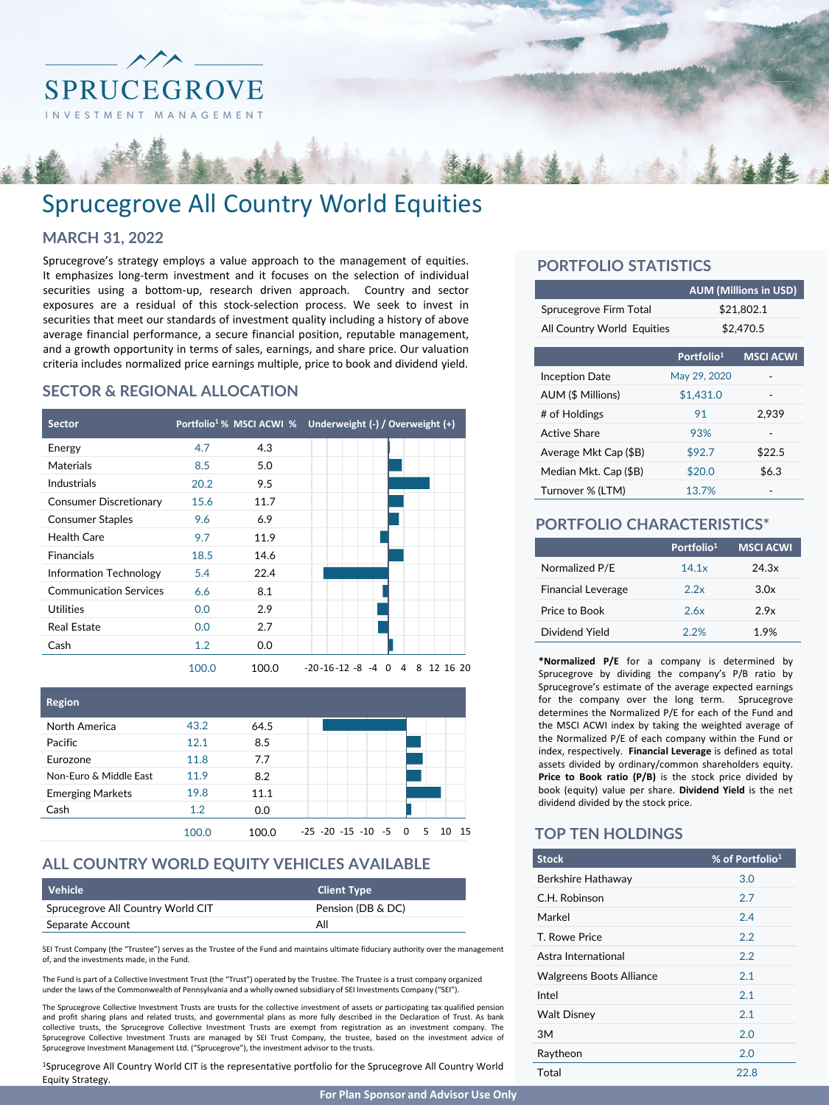

# Sprucegrove All Country World Equities

### **MARCH 31, 2022**

Sprucegrove's strategy employs a value approach to the management of equities. It emphasizes long-term investment and it focuses on the selection of individual securities using a bottom-up, research driven approach. Country and sector exposures are a residual of this stock-selection process. We seek to invest in securities that meet our standards of investment quality including a history of above average financial performance, a secure financial position, reputable management, and a growth opportunity in terms of sales, earnings, and share price. Our valuation criteria includes normalized price earnings multiple, price to book and dividend yield.

# **SECTOR & REGIONAL ALLOCATION**





# **ALL COUNTRY WORLD EQUITY VEHICLES AVAILABLE**

| Vehicle                           | <b>Client Type</b> |
|-----------------------------------|--------------------|
| Sprucegrove All Country World CIT | Pension (DB & DC)  |
| Separate Account                  | All                |

SEI Trust Company (the "Trustee") serves as the Trustee of the Fund and maintains ultimate fiduciary authority over the management of, and the investments made, in the Fund.

The Fund is part of a Collective Investment Trust (the "Trust") operated by the Trustee. The Trustee is a trust company organized under the laws of the Commonwealth of Pennsylvania and a wholly owned subsidiary of SEI Investments Company ("SEI")

The Sprucegrove Collective Investment Trusts are trusts for the collective investment of assets or participating tax qualified pension and profit sharing plans and related trusts, and governmental plans as more fully described in the Declaration of Trust. As bank collective trusts, the Sprucegrove Collective Investment Trusts are exempt from registration as an investment company. The Sprucegrove Collective Investment Trusts are managed by SEI Trust Company, the trustee, based on the investment advice of Sprucegrove Investment Management Ltd. ("Sprucegrove"), the investment advisor to the trusts.

1Sprucegrove All Country World CIT is the representative portfolio for the Sprucegrove All Country World Equity Strategy.

# **PORTFOLIO STATISTICS**

|                            |                        | <b>AUM (Millions in USD)</b> |  |  |  |  |
|----------------------------|------------------------|------------------------------|--|--|--|--|
| Sprucegrove Firm Total     |                        | \$21.802.1                   |  |  |  |  |
| All Country World Equities |                        | \$2,470.5                    |  |  |  |  |
|                            | Portfolio <sup>1</sup> | <b>MSCI ACWI</b>             |  |  |  |  |
| Inception Date             | May 29, 2020           |                              |  |  |  |  |
| AUM (\$ Millions)          | \$1,431.0              |                              |  |  |  |  |
| # of Holdings              | 91                     | 2.939                        |  |  |  |  |
| Active Share               | 93%                    |                              |  |  |  |  |
| Average Mkt Cap (\$B)      | \$92.7                 | \$22.5                       |  |  |  |  |
| Median Mkt. Cap (\$B)      | \$20.0                 | \$6.3                        |  |  |  |  |
| Turnover % (LTM)           | 13.7%                  |                              |  |  |  |  |

#### **PORTFOLIO CHARACTERISTICS\***

|                           | Portfolio <sup>1</sup> | <b>MSCI ACWI</b> |
|---------------------------|------------------------|------------------|
| Normalized P/E            | 14.1x                  | 24.3x            |
| <b>Financial Leverage</b> | 2.2x                   | 3.0x             |
| Price to Book             | 2.6x                   | 2.9x             |
| Dividend Yield            | 22%                    | 1.9%             |

**\*Normalized P/E** for a company is determined by Sprucegrove by dividing the company's P/B ratio by Sprucegrove's estimate of the average expected earnings for the company over the long term. Sprucegrove determines the Normalized P/E for each of the Fund and the MSCI ACWI index by taking the weighted average of the Normalized P/E of each company within the Fund or index, respectively. **Financial Leverage** is defined as total assets divided by ordinary/common shareholders equity. **Price to Book ratio (P/B)** is the stock price divided by book (equity) value per share. **Dividend Yield** is the net dividend divided by the stock price.

#### **TOP TEN HOLDINGS**

| <b>Stock</b>             | % of Portfolio <sup>1</sup> |
|--------------------------|-----------------------------|
| Berkshire Hathaway       | 3.0                         |
| C.H. Robinson            | 2.7                         |
| Markel                   | 2.4                         |
| T. Rowe Price            | 2.2                         |
| Astra International      | 2.2                         |
| Walgreens Boots Alliance | 2.1                         |
| Intel                    | 2.1                         |
| <b>Walt Disney</b>       | 2.1                         |
| 3M                       | 2.0                         |
| Raytheon                 | 2.0                         |
| Total                    | 22.8                        |